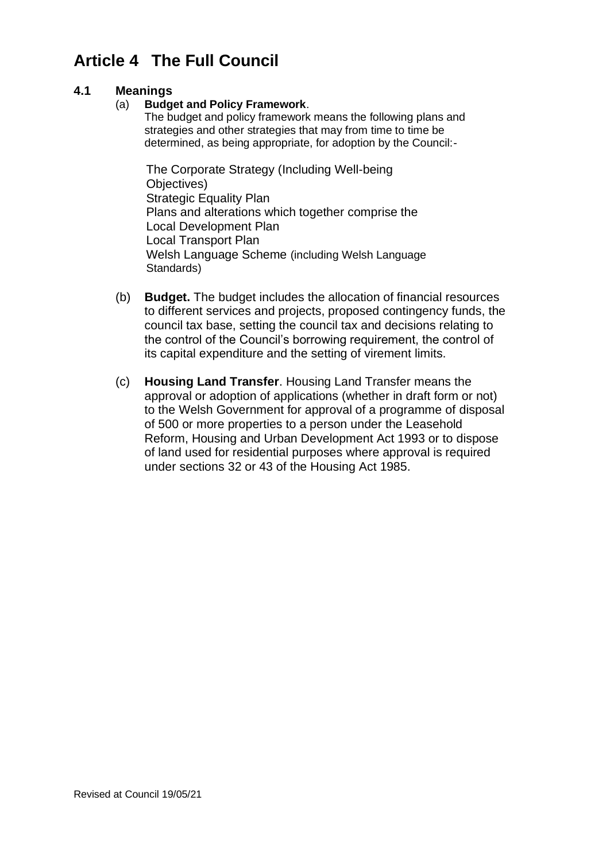# **Article 4 The Full Council**

## **4.1 Meanings**

#### (a) **Budget and Policy Framework**.

The budget and policy framework means the following plans and strategies and other strategies that may from time to time be determined, as being appropriate, for adoption by the Council:-

The Corporate Strategy (Including Well-being Objectives) Strategic Equality Plan Plans and alterations which together comprise the Local Development Plan Local Transport Plan Welsh Language Scheme (including Welsh Language Standards)

- (b) **Budget.** The budget includes the allocation of financial resources to different services and projects, proposed contingency funds, the council tax base, setting the council tax and decisions relating to the control of the Council's borrowing requirement, the control of its capital expenditure and the setting of virement limits.
- (c) **Housing Land Transfer**. Housing Land Transfer means the approval or adoption of applications (whether in draft form or not) to the Welsh Government for approval of a programme of disposal of 500 or more properties to a person under the Leasehold Reform, Housing and Urban Development Act 1993 or to dispose of land used for residential purposes where approval is required under sections 32 or 43 of the Housing Act 1985.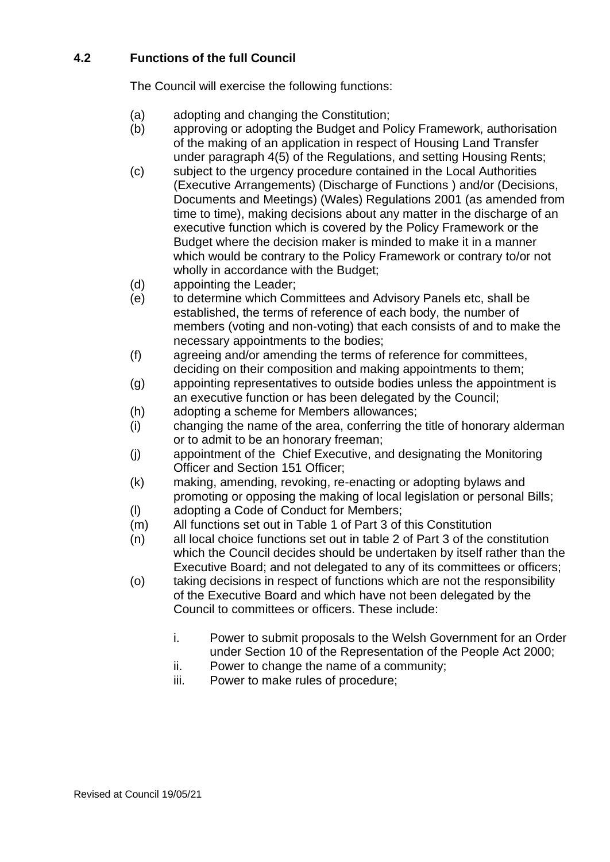# **4.2 Functions of the full Council**

The Council will exercise the following functions:

- (a) adopting and changing the Constitution;
- (b) approving or adopting the Budget and Policy Framework, authorisation of the making of an application in respect of Housing Land Transfer under paragraph 4(5) of the Regulations, and setting Housing Rents;
- (c) subject to the urgency procedure contained in the Local Authorities (Executive Arrangements) (Discharge of Functions ) and/or (Decisions, Documents and Meetings) (Wales) Regulations 2001 (as amended from time to time), making decisions about any matter in the discharge of an executive function which is covered by the Policy Framework or the Budget where the decision maker is minded to make it in a manner which would be contrary to the Policy Framework or contrary to/or not wholly in accordance with the Budget:
- (d) appointing the Leader;
- (e) to determine which Committees and Advisory Panels etc, shall be established, the terms of reference of each body, the number of members (voting and non-voting) that each consists of and to make the necessary appointments to the bodies;
- (f) agreeing and/or amending the terms of reference for committees, deciding on their composition and making appointments to them;
- (g) appointing representatives to outside bodies unless the appointment is an executive function or has been delegated by the Council;
- (h) adopting a scheme for Members allowances;
- (i) changing the name of the area, conferring the title of honorary alderman or to admit to be an honorary freeman;
- (j) appointment of the Chief Executive, and designating the Monitoring Officer and Section 151 Officer;
- (k) making, amending, revoking, re-enacting or adopting bylaws and promoting or opposing the making of local legislation or personal Bills; (l) adopting a Code of Conduct for Members;
- (m) All functions set out in Table 1 of Part 3 of this Constitution
- (n) all local choice functions set out in table 2 of Part 3 of the constitution which the Council decides should be undertaken by itself rather than the Executive Board; and not delegated to any of its committees or officers;
- (o) taking decisions in respect of functions which are not the responsibility of the Executive Board and which have not been delegated by the Council to committees or officers. These include:
	- i. Power to submit proposals to the Welsh Government for an Order under Section 10 of the Representation of the People Act 2000;
	- ii. Power to change the name of a community;
	- iii. Power to make rules of procedure;